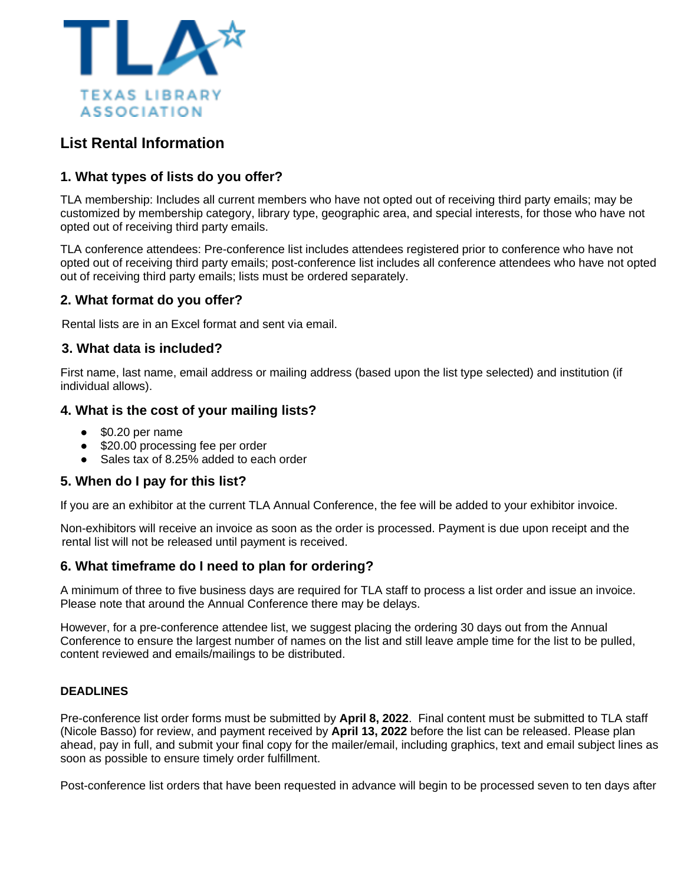

# **List Rental Information**

# **1. What types of lists do you offer?**

TLA membership: Includes all current members who have not opted out of receiving third party emails; may be customized by membership category, library type, geographic area, and special interests, for those who have not opted out of receiving third party emails.

TLA conference attendees: Pre-conference list includes attendees registered prior to conference who have not opted out of receiving third party emails; post-conference list includes all conference attendees who have not opted out of receiving third party emails; lists must be ordered separately.

## **2. What format do you offer?**

Rental lists are in an Excel format and sent via email.

#### **3. What data is included?**

First name, last name, email address or mailing address (based upon the list type selected) and institution (if individual allows).

## **4. What is the cost of your mailing lists?**

- \$0.20 per name
- \$20.00 processing fee per order
- Sales tax of 8.25% added to each order

## **5. When do I pay for this list?**

If you are an exhibitor at the current TLA Annual Conference, the fee will be added to your exhibitor invoice.

Non-exhibitors will receive an invoice as soon as the order is processed. Payment is due upon receipt and the rental list will not be released until payment is received.

## **6. What timeframe do I need to plan for ordering?**

A minimum of three to five business days are required for TLA staff to process a list order and issue an invoice. Please note that around the Annual Conference there may be delays.

However, for a pre-conference attendee list, we suggest placing the ordering 30 days out from the Annual Conference to ensure the largest number of names on the list and still leave ample time for the list to be pulled, content reviewed and emails/mailings to be distributed.

#### **DEADLINES**

Pre-conference list order forms must be submitted by **April 8, 2022**. Final content must be submitted to TLA staff (Nicole Basso) for review, and payment received by **April 13, 2022** before the list can be released. Please plan ahead, pay in full, and submit your final copy for the mailer/email, including graphics, text and email subject lines as soon as possible to ensure timely order fulfillment.

Post-conference list orders that have been requested in advance will begin to be processed seven to ten days after